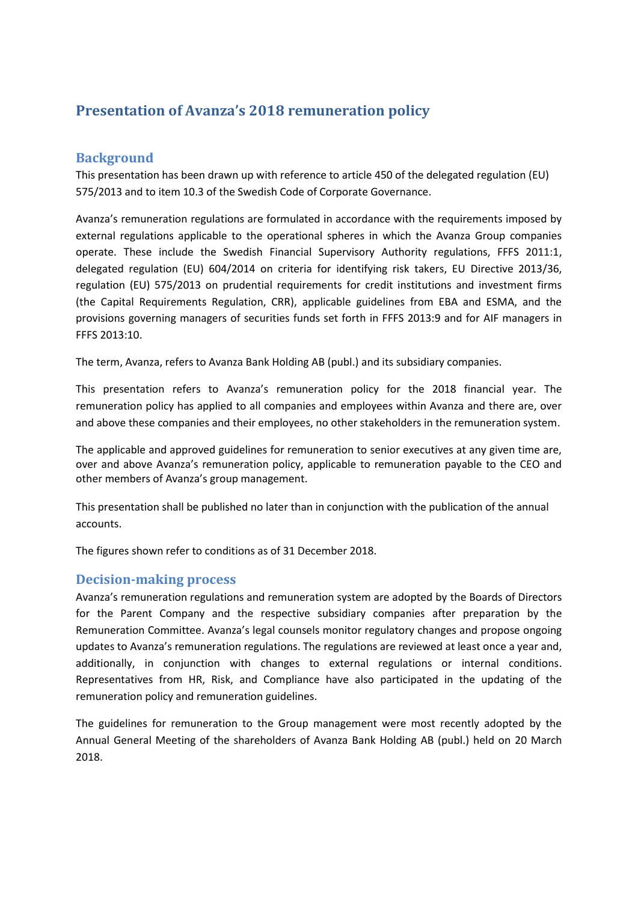# **Presentation of Avanza's 2018 remuneration policy**

### **Background**

This presentation has been drawn up with reference to article 450 of the delegated regulation (EU) 575/2013 and to item 10.3 of the Swedish Code of Corporate Governance.

Avanza's remuneration regulations are formulated in accordance with the requirements imposed by external regulations applicable to the operational spheres in which the Avanza Group companies operate. These include the Swedish Financial Supervisory Authority regulations, FFFS 2011:1, delegated regulation (EU) 604/2014 on criteria for identifying risk takers, EU Directive 2013/36, regulation (EU) 575/2013 on prudential requirements for credit institutions and investment firms (the Capital Requirements Regulation, CRR), applicable guidelines from EBA and ESMA, and the provisions governing managers of securities funds set forth in FFFS 2013:9 and for AIF managers in FFFS 2013:10.

The term, Avanza, refers to Avanza Bank Holding AB (publ.) and its subsidiary companies.

This presentation refers to Avanza's remuneration policy for the 2018 financial year. The remuneration policy has applied to all companies and employees within Avanza and there are, over and above these companies and their employees, no other stakeholders in the remuneration system.

The applicable and approved guidelines for remuneration to senior executives at any given time are, over and above Avanza's remuneration policy, applicable to remuneration payable to the CEO and other members of Avanza's group management.

This presentation shall be published no later than in conjunction with the publication of the annual accounts.

The figures shown refer to conditions as of 31 December 2018.

### **Decision-making process**

Avanza's remuneration regulations and remuneration system are adopted by the Boards of Directors for the Parent Company and the respective subsidiary companies after preparation by the Remuneration Committee. Avanza's legal counsels monitor regulatory changes and propose ongoing updates to Avanza's remuneration regulations. The regulations are reviewed at least once a year and, additionally, in conjunction with changes to external regulations or internal conditions. Representatives from HR, Risk, and Compliance have also participated in the updating of the remuneration policy and remuneration guidelines.

The guidelines for remuneration to the Group management were most recently adopted by the Annual General Meeting of the shareholders of Avanza Bank Holding AB (publ.) held on 20 March 2018.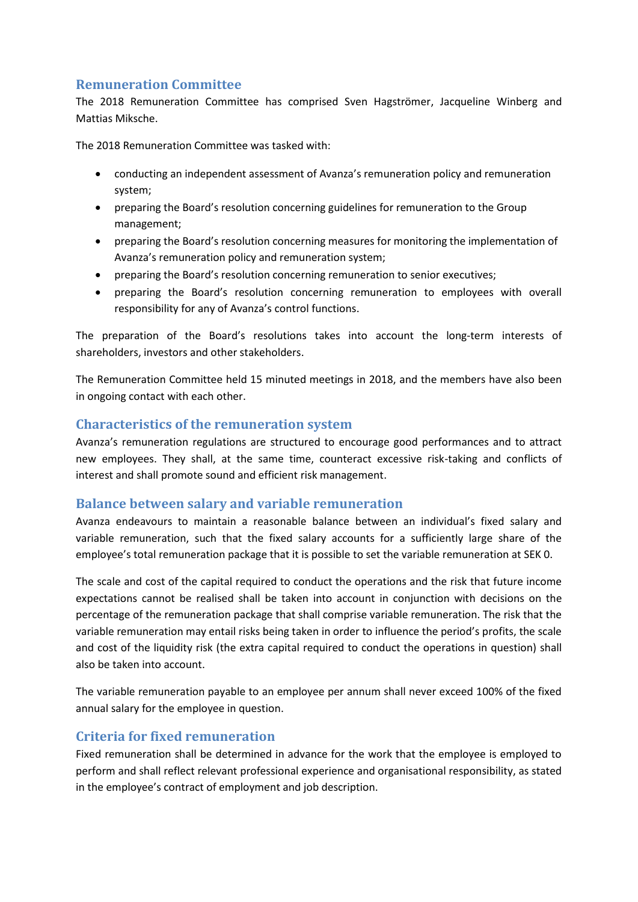## **Remuneration Committee**

The 2018 Remuneration Committee has comprised Sven Hagströmer, Jacqueline Winberg and Mattias Miksche.

The 2018 Remuneration Committee was tasked with:

- conducting an independent assessment of Avanza's remuneration policy and remuneration system;
- preparing the Board's resolution concerning guidelines for remuneration to the Group management;
- preparing the Board's resolution concerning measures for monitoring the implementation of Avanza's remuneration policy and remuneration system;
- preparing the Board's resolution concerning remuneration to senior executives;
- preparing the Board's resolution concerning remuneration to employees with overall responsibility for any of Avanza's control functions.

The preparation of the Board's resolutions takes into account the long-term interests of shareholders, investors and other stakeholders.

The Remuneration Committee held 15 minuted meetings in 2018, and the members have also been in ongoing contact with each other.

### **Characteristics of the remuneration system**

Avanza's remuneration regulations are structured to encourage good performances and to attract new employees. They shall, at the same time, counteract excessive risk-taking and conflicts of interest and shall promote sound and efficient risk management.

### **Balance between salary and variable remuneration**

Avanza endeavours to maintain a reasonable balance between an individual's fixed salary and variable remuneration, such that the fixed salary accounts for a sufficiently large share of the employee's total remuneration package that it is possible to set the variable remuneration at SEK 0.

The scale and cost of the capital required to conduct the operations and the risk that future income expectations cannot be realised shall be taken into account in conjunction with decisions on the percentage of the remuneration package that shall comprise variable remuneration. The risk that the variable remuneration may entail risks being taken in order to influence the period's profits, the scale and cost of the liquidity risk (the extra capital required to conduct the operations in question) shall also be taken into account.

The variable remuneration payable to an employee per annum shall never exceed 100% of the fixed annual salary for the employee in question.

### **Criteria for fixed remuneration**

Fixed remuneration shall be determined in advance for the work that the employee is employed to perform and shall reflect relevant professional experience and organisational responsibility, as stated in the employee's contract of employment and job description.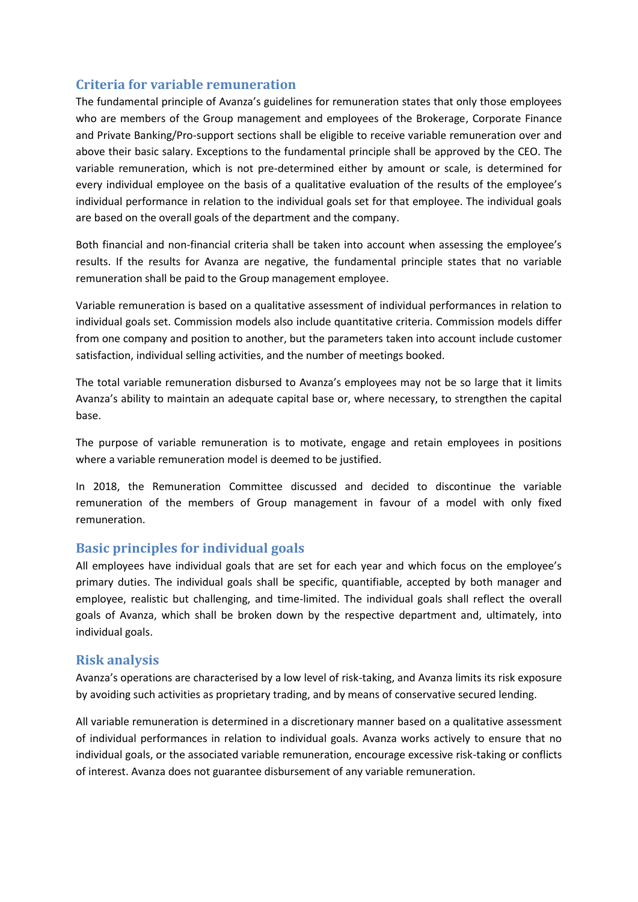### **Criteria for variable remuneration**

The fundamental principle of Avanza's guidelines for remuneration states that only those employees who are members of the Group management and employees of the Brokerage, Corporate Finance and Private Banking/Pro-support sections shall be eligible to receive variable remuneration over and above their basic salary. Exceptions to the fundamental principle shall be approved by the CEO. The variable remuneration, which is not pre-determined either by amount or scale, is determined for every individual employee on the basis of a qualitative evaluation of the results of the employee's individual performance in relation to the individual goals set for that employee. The individual goals are based on the overall goals of the department and the company.

Both financial and non-financial criteria shall be taken into account when assessing the employee's results. If the results for Avanza are negative, the fundamental principle states that no variable remuneration shall be paid to the Group management employee.

Variable remuneration is based on a qualitative assessment of individual performances in relation to individual goals set. Commission models also include quantitative criteria. Commission models differ from one company and position to another, but the parameters taken into account include customer satisfaction, individual selling activities, and the number of meetings booked.

The total variable remuneration disbursed to Avanza's employees may not be so large that it limits Avanza's ability to maintain an adequate capital base or, where necessary, to strengthen the capital base.

The purpose of variable remuneration is to motivate, engage and retain employees in positions where a variable remuneration model is deemed to be justified.

In 2018, the Remuneration Committee discussed and decided to discontinue the variable remuneration of the members of Group management in favour of a model with only fixed remuneration.

### **Basic principles for individual goals**

All employees have individual goals that are set for each year and which focus on the employee's primary duties. The individual goals shall be specific, quantifiable, accepted by both manager and employee, realistic but challenging, and time-limited. The individual goals shall reflect the overall goals of Avanza, which shall be broken down by the respective department and, ultimately, into individual goals.

#### **Risk analysis**

Avanza's operations are characterised by a low level of risk-taking, and Avanza limits its risk exposure by avoiding such activities as proprietary trading, and by means of conservative secured lending.

All variable remuneration is determined in a discretionary manner based on a qualitative assessment of individual performances in relation to individual goals. Avanza works actively to ensure that no individual goals, or the associated variable remuneration, encourage excessive risk-taking or conflicts of interest. Avanza does not guarantee disbursement of any variable remuneration.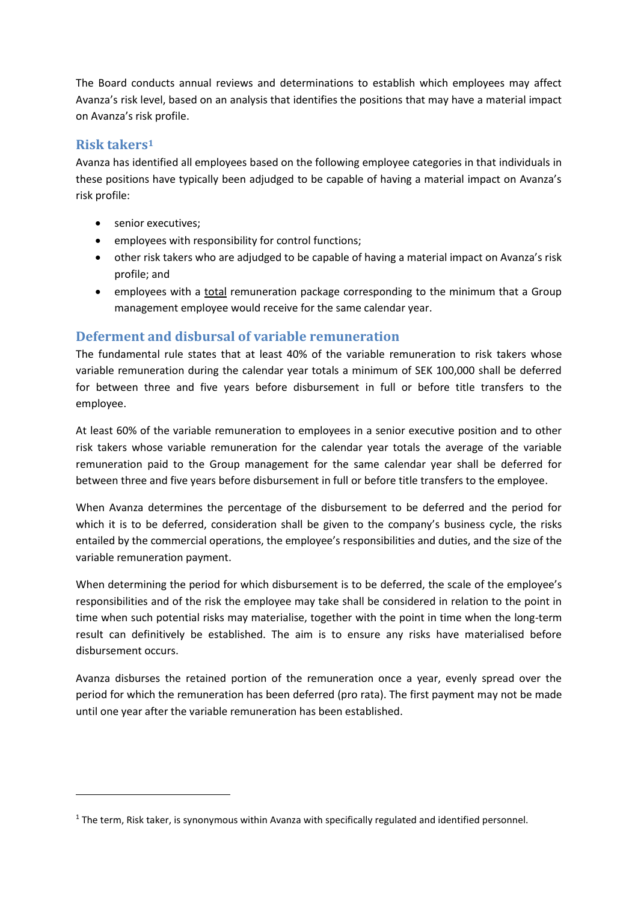The Board conducts annual reviews and determinations to establish which employees may affect Avanza's risk level, based on an analysis that identifies the positions that may have a material impact on Avanza's risk profile.

### **Risk takers<sup>1</sup>**

1

Avanza has identified all employees based on the following employee categories in that individuals in these positions have typically been adjudged to be capable of having a material impact on Avanza's risk profile:

- senior executives;
- employees with responsibility for control functions;
- other risk takers who are adjudged to be capable of having a material impact on Avanza's risk profile; and
- employees with a total remuneration package corresponding to the minimum that a Group management employee would receive for the same calendar year.

### **Deferment and disbursal of variable remuneration**

The fundamental rule states that at least 40% of the variable remuneration to risk takers whose variable remuneration during the calendar year totals a minimum of SEK 100,000 shall be deferred for between three and five years before disbursement in full or before title transfers to the employee.

At least 60% of the variable remuneration to employees in a senior executive position and to other risk takers whose variable remuneration for the calendar year totals the average of the variable remuneration paid to the Group management for the same calendar year shall be deferred for between three and five years before disbursement in full or before title transfers to the employee.

When Avanza determines the percentage of the disbursement to be deferred and the period for which it is to be deferred, consideration shall be given to the company's business cycle, the risks entailed by the commercial operations, the employee's responsibilities and duties, and the size of the variable remuneration payment.

When determining the period for which disbursement is to be deferred, the scale of the employee's responsibilities and of the risk the employee may take shall be considered in relation to the point in time when such potential risks may materialise, together with the point in time when the long-term result can definitively be established. The aim is to ensure any risks have materialised before disbursement occurs.

Avanza disburses the retained portion of the remuneration once a year, evenly spread over the period for which the remuneration has been deferred (pro rata). The first payment may not be made until one year after the variable remuneration has been established.

<sup>&</sup>lt;sup>1</sup> The term, Risk taker, is synonymous within Avanza with specifically regulated and identified personnel.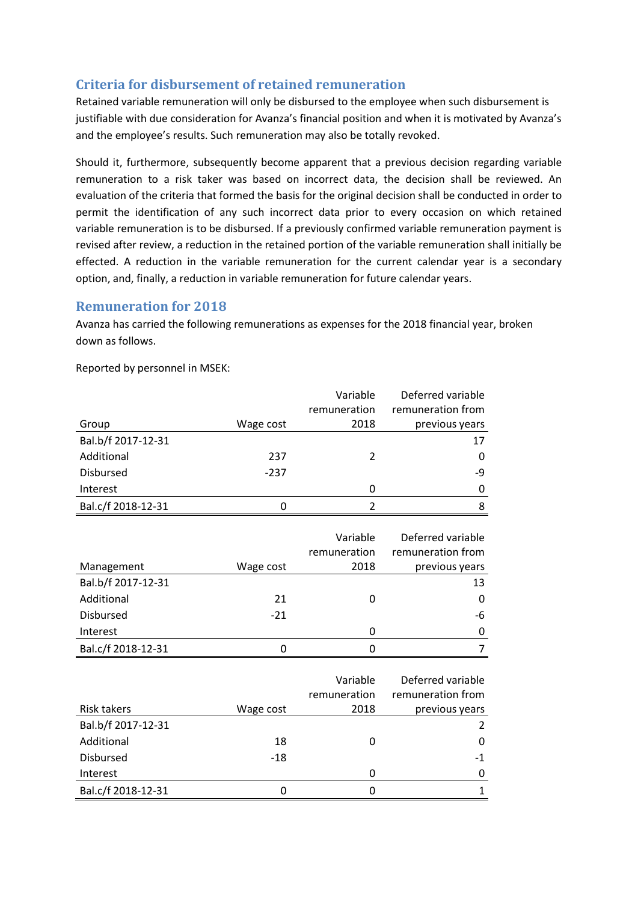# **Criteria for disbursement of retained remuneration**

Retained variable remuneration will only be disbursed to the employee when such disbursement is justifiable with due consideration for Avanza's financial position and when it is motivated by Avanza's and the employee's results. Such remuneration may also be totally revoked.

Should it, furthermore, subsequently become apparent that a previous decision regarding variable remuneration to a risk taker was based on incorrect data, the decision shall be reviewed. An evaluation of the criteria that formed the basis for the original decision shall be conducted in order to permit the identification of any such incorrect data prior to every occasion on which retained variable remuneration is to be disbursed. If a previously confirmed variable remuneration payment is revised after review, a reduction in the retained portion of the variable remuneration shall initially be effected. A reduction in the variable remuneration for the current calendar year is a secondary option, and, finally, a reduction in variable remuneration for future calendar years.

### **Remuneration for 2018**

Avanza has carried the following remunerations as expenses for the 2018 financial year, broken down as follows.

Reported by personnel in MSEK:

|                    |           | Variable     | Deferred variable |
|--------------------|-----------|--------------|-------------------|
|                    |           | remuneration | remuneration from |
| Group              | Wage cost | 2018         | previous years    |
| Bal.b/f 2017-12-31 |           |              | 17                |
| Additional         | 237       | 2            | $\Omega$          |
| <b>Disbursed</b>   | $-237$    |              | -9                |
| Interest           |           | 0            | $\Omega$          |
| Bal.c/f 2018-12-31 |           |              | 8                 |

|                    |           | Variable<br>remuneration | Deferred variable<br>remuneration from |
|--------------------|-----------|--------------------------|----------------------------------------|
| Management         | Wage cost | 2018                     | previous years                         |
| Bal.b/f 2017-12-31 |           |                          | 13                                     |
| Additional         | 21        | 0                        | 0                                      |
| <b>Disbursed</b>   | $-21$     |                          | -6                                     |
| Interest           |           | 0                        | 0                                      |
| Bal.c/f 2018-12-31 |           | 0                        |                                        |

|                    |           | Variable     | Deferred variable |
|--------------------|-----------|--------------|-------------------|
|                    |           | remuneration | remuneration from |
| <b>Risk takers</b> | Wage cost | 2018         | previous years    |
| Bal.b/f 2017-12-31 |           |              | $\mathcal{L}$     |
| Additional         | 18        | O            | 0                 |
| <b>Disbursed</b>   | $-18$     |              | -1                |
| Interest           |           | 0            | 0                 |
| Bal.c/f 2018-12-31 |           | 0            |                   |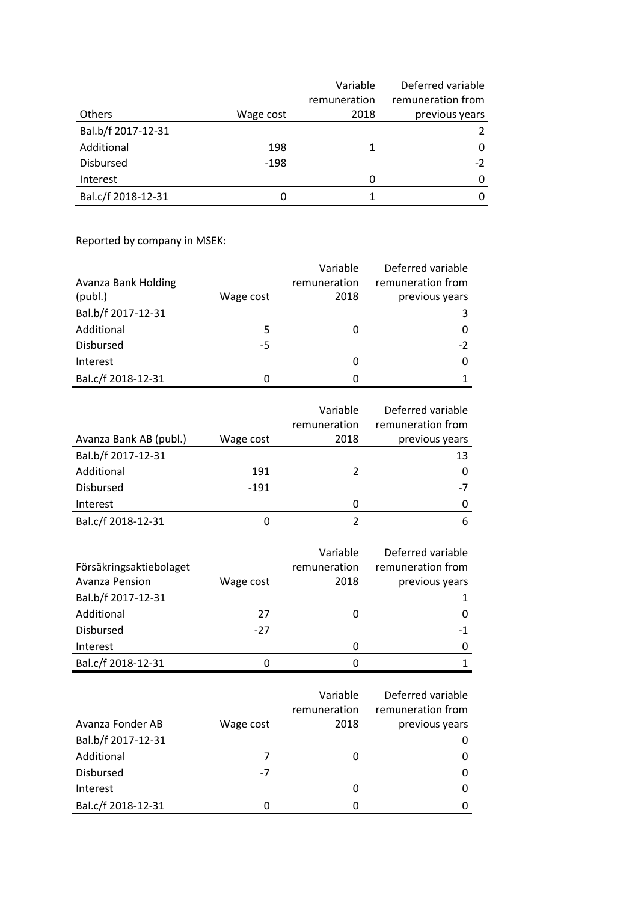|                    |           | Variable     | Deferred variable |
|--------------------|-----------|--------------|-------------------|
|                    |           | remuneration | remuneration from |
| <b>Others</b>      | Wage cost | 2018         | previous years    |
| Bal.b/f 2017-12-31 |           |              | 2                 |
| Additional         | 198       | 1            | 0                 |
| <b>Disbursed</b>   | $-198$    |              | $-2$              |
| Interest           |           | 0            | $\Omega$          |
| Bal.c/f 2018-12-31 |           |              | 0                 |

Reported by company in MSEK:

|                     |           | Variable     | Deferred variable |
|---------------------|-----------|--------------|-------------------|
| Avanza Bank Holding |           | remuneration | remuneration from |
| (publ.)             | Wage cost | 2018         | previous years    |
| Bal.b/f 2017-12-31  |           |              |                   |
| Additional          | 5         |              |                   |
| <b>Disbursed</b>    | -5        |              | $-2$              |
| Interest            |           | 0            |                   |
| Bal.c/f 2018-12-31  | O         |              |                   |

|                        |           | Variable     | Deferred variable |
|------------------------|-----------|--------------|-------------------|
|                        |           | remuneration | remuneration from |
| Avanza Bank AB (publ.) | Wage cost | 2018         | previous years    |
| Bal.b/f 2017-12-31     |           |              | 13                |
| Additional             | 191       |              | $\Omega$          |
| <b>Disbursed</b>       | $-191$    |              | -7                |
| Interest               |           | 0            | 0                 |
| Bal.c/f 2018-12-31     | $\Omega$  |              |                   |

|                         |           | Variable     | Deferred variable |
|-------------------------|-----------|--------------|-------------------|
| Försäkringsaktiebolaget |           | remuneration | remuneration from |
| Avanza Pension          | Wage cost | 2018         | previous years    |
| Bal.b/f 2017-12-31      |           |              |                   |
| Additional              | 27        | $\Omega$     |                   |
| <b>Disbursed</b>        | $-27$     |              | -1                |
| Interest                |           | 0            |                   |
| Bal.c/f 2018-12-31      |           |              |                   |

|                    |           | Variable     | Deferred variable |
|--------------------|-----------|--------------|-------------------|
|                    |           | remuneration | remuneration from |
| Avanza Fonder AB   | Wage cost | 2018         | previous years    |
| Bal.b/f 2017-12-31 |           |              |                   |
| Additional         |           |              |                   |
| <b>Disbursed</b>   | -7        |              | 0                 |
| Interest           |           |              | 0                 |
| Bal.c/f 2018-12-31 | O         |              |                   |